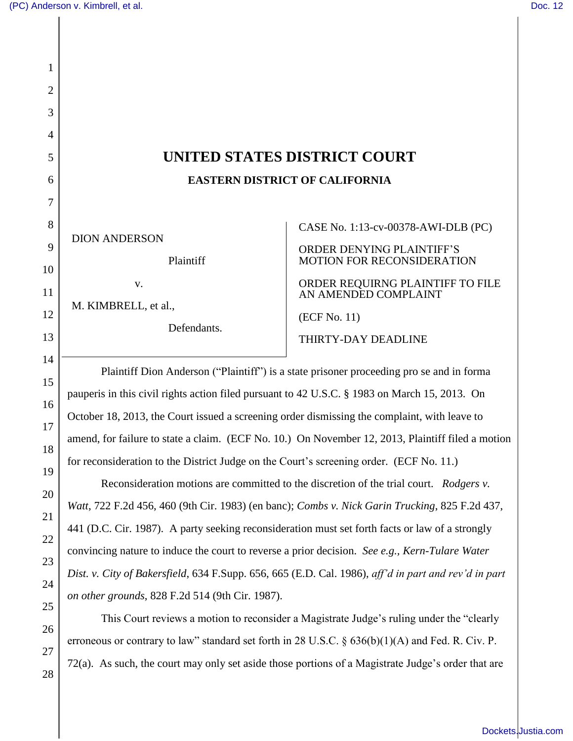1

2

3

4

5

6

7

8

9

10

11

12

13

14

15

16

17

18

19

20

21

22

23

24

25

26

27

28

| UNITED STATES DISTRICT COURT<br><b>EASTERN DISTRICT OF CALIFORNIA</b>          |                                                                                                                                                                                                                 |  |  |
|--------------------------------------------------------------------------------|-----------------------------------------------------------------------------------------------------------------------------------------------------------------------------------------------------------------|--|--|
| <b>DION ANDERSON</b><br>Plaintiff<br>V.<br>M. KIMBRELL, et al.,<br>Defendants. | CASE No. 1:13-cv-00378-AWI-DLB (PC)<br><b>ORDER DENYING PLAINTIFF'S</b><br><b>MOTION FOR RECONSIDERATION</b><br>ORDER REQUIRNG PLAINTIFF TO FILE<br>AN AMENDED COMPLAINT<br>(ECF No. 11)<br>THIRTY-DAY DEADLINE |  |  |

Plaintiff Dion Anderson ("Plaintiff") is a state prisoner proceeding pro se and in forma pauperis in this civil rights action filed pursuant to 42 U.S.C. § 1983 on March 15, 2013. On October 18, 2013, the Court issued a screening order dismissing the complaint, with leave to amend, for failure to state a claim. (ECF No. 10.) On November 12, 2013, Plaintiff filed a motion for reconsideration to the District Judge on the Court's screening order. (ECF No. 11.)

Reconsideration motions are committed to the discretion of the trial court. *Rodgers v. Watt*, 722 F.2d 456, 460 (9th Cir. 1983) (en banc); *Combs v. Nick Garin Trucking*, 825 F.2d 437, 441 (D.C. Cir. 1987). A party seeking reconsideration must set forth facts or law of a strongly convincing nature to induce the court to reverse a prior decision. *See e.g., Kern-Tulare Water Dist. v. City of Bakersfield*, 634 F.Supp. 656, 665 (E.D. Cal. 1986), *aff'd in part and rev'd in part on other grounds*, 828 F.2d 514 (9th Cir. 1987).

This Court reviews a motion to reconsider a Magistrate Judge's ruling under the "clearly" erroneous or contrary to law" standard set forth in 28 U.S.C. § 636(b)(1)(A) and Fed. R. Civ. P. 72(a). As such, the court may only set aside those portions of a Magistrate Judge"s order that are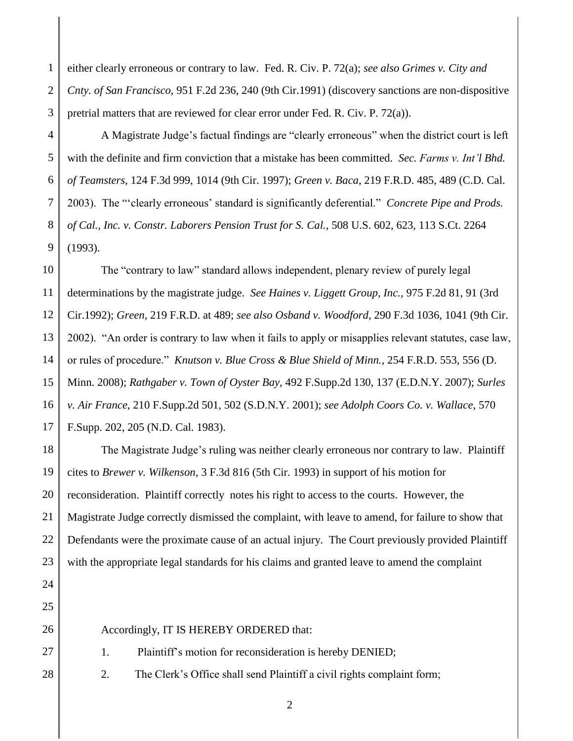1 2 3 either clearly erroneous or contrary to law. Fed. R. Civ. P. 72(a); *see also Grimes v. City and Cnty. of San Francisco*, 951 F.2d 236, 240 (9th Cir.1991) (discovery sanctions are non-dispositive pretrial matters that are reviewed for clear error under Fed. R. Civ. P. 72(a)).

4 5 6 7 8 9 A Magistrate Judge"s factual findings are "clearly erroneous" when the district court is left with the definite and firm conviction that a mistake has been committed. *Sec. Farms v. Int'l Bhd. of Teamsters*, 124 F.3d 999, 1014 (9th Cir. 1997); *Green v. Baca*, 219 F.R.D. 485, 489 (C.D. Cal. 2003). The ""clearly erroneous" standard is significantly deferential." *Concrete Pipe and Prods. of Cal., Inc. v. Constr. Laborers Pension Trust for S. Cal.,* 508 U.S. 602, 623, 113 S.Ct. 2264 (1993).

10 11 12 13 14 15 16 17 The "contrary to law" standard allows independent, plenary review of purely legal determinations by the magistrate judge. *See Haines v. Liggett Group, Inc.*, 975 F.2d 81, 91 (3rd Cir.1992); *Green*, 219 F.R.D. at 489; *see also Osband v. Woodford*, 290 F.3d 1036, 1041 (9th Cir. 2002). "An order is contrary to law when it fails to apply or misapplies relevant statutes, case law, or rules of procedure." *Knutson v. Blue Cross & Blue Shield of Minn.*, 254 F.R.D. 553, 556 (D. Minn. 2008); *Rathgaber v. Town of Oyster Bay*, 492 F.Supp.2d 130, 137 (E.D.N.Y. 2007); *Surles v. Air France*, 210 F.Supp.2d 501, 502 (S.D.N.Y. 2001); *see Adolph Coors Co. v. Wallace*, 570 F.Supp. 202, 205 (N.D. Cal. 1983).

18 19 20 21 22 23 The Magistrate Judge"s ruling was neither clearly erroneous nor contrary to law. Plaintiff cites to *Brewer v. Wilkenson,* 3 F.3d 816 (5th Cir. 1993) in support of his motion for reconsideration. Plaintiff correctly notes his right to access to the courts. However, the Magistrate Judge correctly dismissed the complaint, with leave to amend, for failure to show that Defendants were the proximate cause of an actual injury. The Court previously provided Plaintiff with the appropriate legal standards for his claims and granted leave to amend the complaint

24 25

26

Accordingly, IT IS HEREBY ORDERED that:

27

28

2. The Clerk"s Office shall send Plaintiff a civil rights complaint form;

1. Plaintiff"s motion for reconsideration is hereby DENIED;